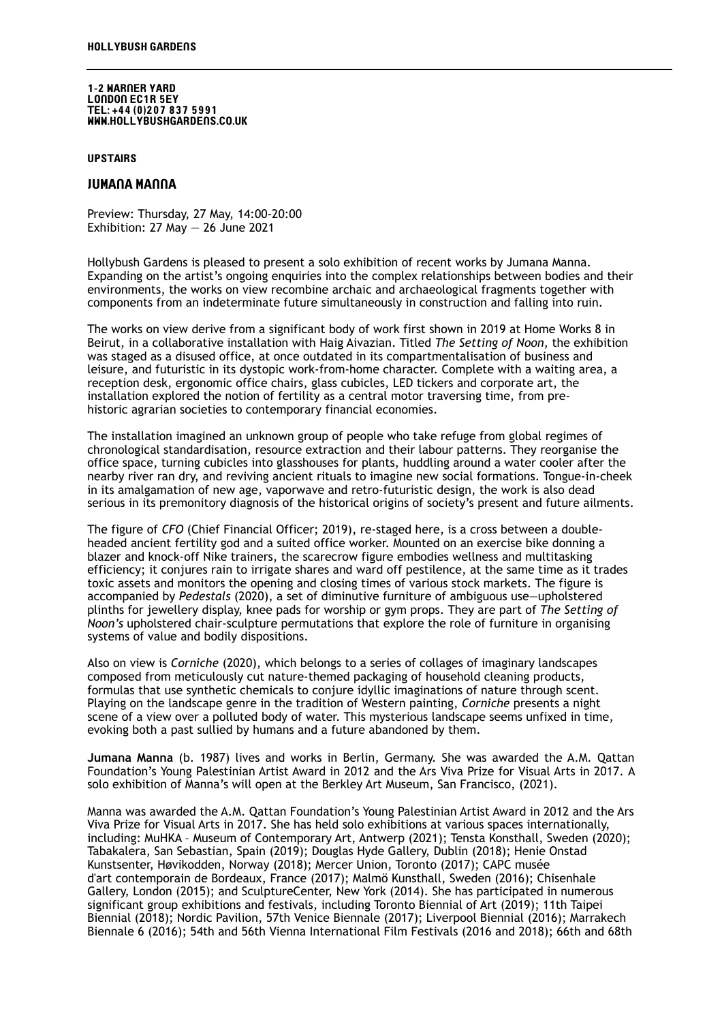1-2 Warner Yard London EC1r 5ey Tel: +44 (0)207 837 5991 www.hollybushgardens.co.uk

## **UPSTAIRS**

## Jumana manna

Preview: Thursday, 27 May, 14:00-20:00 Exhibition:  $27$  May  $- 26$  June 2021

Hollybush Gardens is pleased to present a solo exhibition of recent works by Jumana Manna. Expanding on the artist's ongoing enquiries into the complex relationships between bodies and their environments, the works on view recombine archaic and archaeological fragments together with components from an indeterminate future simultaneously in construction and falling into ruin.

The works on view derive from a significant body of work first shown in 2019 at Home Works 8 in Beirut, in a collaborative installation with Haig Aivazian. Titled *The Setting of Noon*, the exhibition was staged as a disused office, at once outdated in its compartmentalisation of business and leisure, and futuristic in its dystopic work-from-home character. Complete with a waiting area, a reception desk, ergonomic office chairs, glass cubicles, LED tickers and corporate art, the installation explored the notion of fertility as a central motor traversing time, from prehistoric agrarian societies to contemporary financial economies.

The installation imagined an unknown group of people who take refuge from global regimes of chronological standardisation, resource extraction and their labour patterns. They reorganise the office space, turning cubicles into glasshouses for plants, huddling around a water cooler after the nearby river ran dry, and reviving ancient rituals to imagine new social formations. Tongue-in-cheek in its amalgamation of new age, vaporwave and retro-futuristic design, the work is also dead serious in its premonitory diagnosis of the historical origins of society's present and future ailments.

The figure of *CFO* (Chief Financial Officer; 2019), re-staged here, is a cross between a doubleheaded ancient fertility god and a suited office worker. Mounted on an exercise bike donning a blazer and knock-off Nike trainers, the scarecrow figure embodies wellness and multitasking efficiency; it conjures rain to irrigate shares and ward off pestilence, at the same time as it trades toxic assets and monitors the opening and closing times of various stock markets. The figure is accompanied by *Pedestals* (2020), a set of diminutive furniture of ambiguous use—upholstered plinths for jewellery display, knee pads for worship or gym props. They are part of *The Setting of Noon's* upholstered chair-sculpture permutations that explore the role of furniture in organising systems of value and bodily dispositions.

Also on view is *Corniche* (2020), which belongs to a series of collages of imaginary landscapes composed from meticulously cut nature-themed packaging of household cleaning products, formulas that use synthetic chemicals to conjure idyllic imaginations of nature through scent. Playing on the landscape genre in the tradition of Western painting, *Corniche* presents a night scene of a view over a polluted body of water. This mysterious landscape seems unfixed in time, evoking both a past sullied by humans and a future abandoned by them.

**Jumana Manna** (b. 1987) lives and works in Berlin, Germany. She was awarded the A.M. Qattan Foundation's Young Palestinian Artist Award in 2012 and the Ars Viva Prize for Visual Arts in 2017. A solo exhibition of Manna's will open at the Berkley Art Museum, San Francisco, (2021).

Manna was awarded the A.M. Qattan Foundation's Young Palestinian Artist Award in 2012 and the Ars Viva Prize for Visual Arts in 2017. She has held solo exhibitions at various spaces internationally, including: MuHKA – Museum of Contemporary Art, Antwerp (2021); Tensta Konsthall, Sweden (2020); Tabakalera, San Sebastian, Spain (2019); Douglas Hyde Gallery, Dublin (2018); Henie Onstad Kunstsenter, Høvikodden, Norway (2018); Mercer Union, Toronto (2017); CAPC musée d'art contemporain de Bordeaux, France (2017); Malmö Kunsthall, Sweden (2016); Chisenhale Gallery, London (2015); and SculptureCenter, New York (2014). She has participated in numerous significant group exhibitions and festivals, including Toronto Biennial of Art (2019); 11th Taipei Biennial (2018); Nordic Pavilion, 57th Venice Biennale (2017); Liverpool Biennial (2016); Marrakech Biennale 6 (2016); 54th and 56th Vienna International Film Festivals (2016 and 2018); 66th and 68th